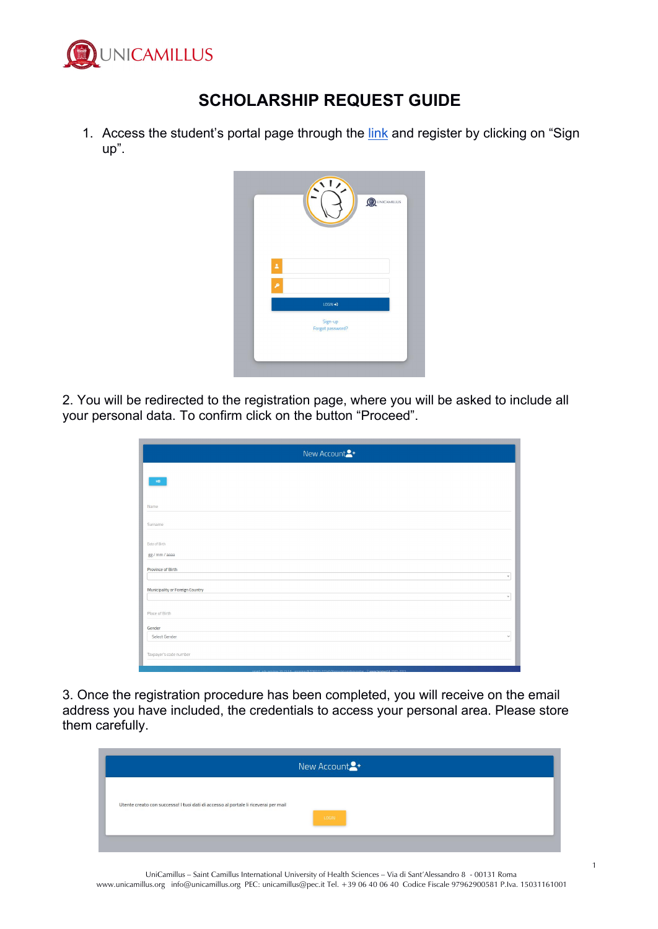

## **SCHOLARSHIP REQUEST GUIDE**

1. Access the student's portal page through the [link](https://unicamillus-studenti.gomp.it/Login/Index) and register by clicking on "Sign up".

|                    | $\sqrt{1}$<br>QUINICAMILLUS |  |
|--------------------|-----------------------------|--|
|                    |                             |  |
| $\hat{\textbf{z}}$ |                             |  |
| ۹                  |                             |  |
|                    | LOGIN +1                    |  |
|                    | Sign-up<br>Forgot password? |  |
|                    |                             |  |

2. You will be redirected to the registration page, where you will be asked to include all your personal data. To confirm click on the button "Proceed".

| New Account <sup>2+</sup>                 |
|-------------------------------------------|
| $\mathbf{B} \mathbf{B}$ .                 |
|                                           |
| Name                                      |
| Surname                                   |
| Date of Birth                             |
| gg / mm / aaaa                            |
| Province of Birth<br>$\mathbf{v}$         |
| Municipality or Foreign Country<br>$\tau$ |
| Place of Birth                            |
| Gender                                    |
| Select Gender<br>$\checkmark$             |
| Taxpayer's code number                    |
|                                           |

3. Once the registration procedure has been completed, you will receive on the email address you have included, the credentials to access your personal area. Please store them carefully.

| New Account <sup>2+</sup>                                                                    |
|----------------------------------------------------------------------------------------------|
| Utente creato con successo! I tuoi dati di accesso al portale li riceverai per mail<br>LOGIN |
|                                                                                              |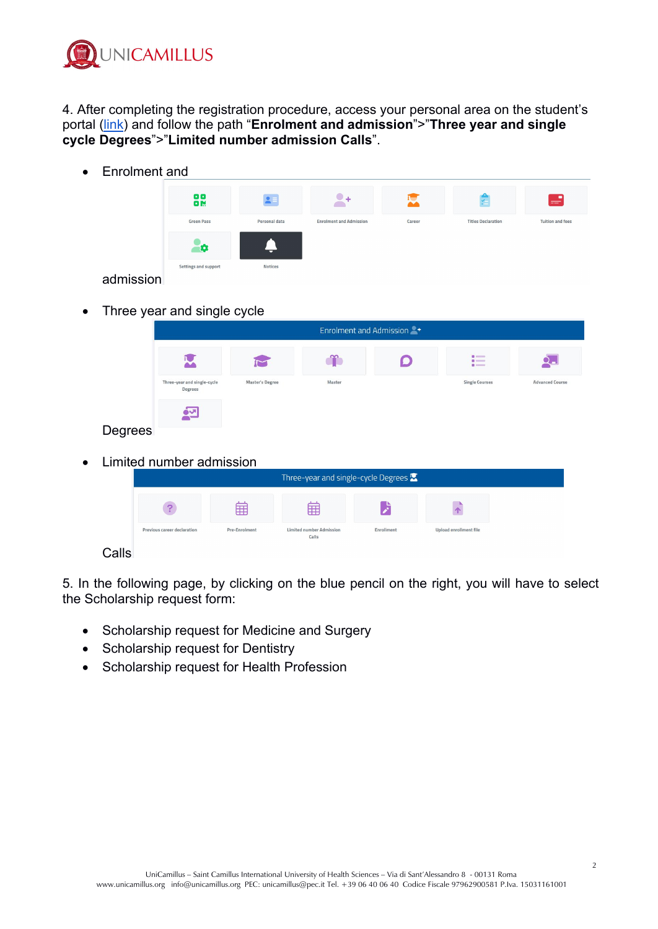

4. After completing the registration procedure, access your personal area on the student's portal ([link\)](https://unicamillus-studenti.gomp.it/Login/Index) and follow the path "**Enrolment and admission**">"**Three year and single cycle Degrees**">"**Limited number admission Calls**".

Enrolment and

| 88<br>88             | $2 -$          |                                |        | Ý.                        | S                       |
|----------------------|----------------|--------------------------------|--------|---------------------------|-------------------------|
| <b>Green Pass</b>    | Personal data  | <b>Enrolment and Admission</b> | Career | <b>Titles Declaration</b> | <b>Tuition and fees</b> |
| Ð                    | ▭              |                                |        |                           |                         |
| Settings and support | <b>Notices</b> |                                |        |                           |                         |

admission

• Three year and single cycle

|         | Enrolment and Admission                |                 |        |  |                                 |                        |
|---------|----------------------------------------|-----------------|--------|--|---------------------------------|------------------------|
|         |                                        |                 |        |  | $\blacksquare$<br>$\frac{1}{2}$ |                        |
|         | Three-year and single-cycle<br>Degrees | Master's Degree | Master |  | <b>Single Courses</b>           | <b>Advanced Course</b> |
|         | <u>하년</u>                              |                 |        |  |                                 |                        |
| Degrees |                                        |                 |        |  |                                 |                        |

• Limited number admission

|    | Three-year and single-cycle Degrees $\mathbf{\Omega}$ |               |                                          |                   |                               |  |
|----|-------------------------------------------------------|---------------|------------------------------------------|-------------------|-------------------------------|--|
|    |                                                       | ⊞             | 爾                                        |                   |                               |  |
|    | Previous career declaration                           | Pre-Enrolment | <b>Limited number Admission</b><br>Calls | <b>Enrollment</b> | <b>Upload enrollment file</b> |  |
| Iص |                                                       |               |                                          |                   |                               |  |

## Calls

5. In the following page, by clicking on the blue pencil on the right, you will have to select the Scholarship request form:

- Scholarship request for Medicine and Surgery
- Scholarship request for Dentistry
- Scholarship request for Health Profession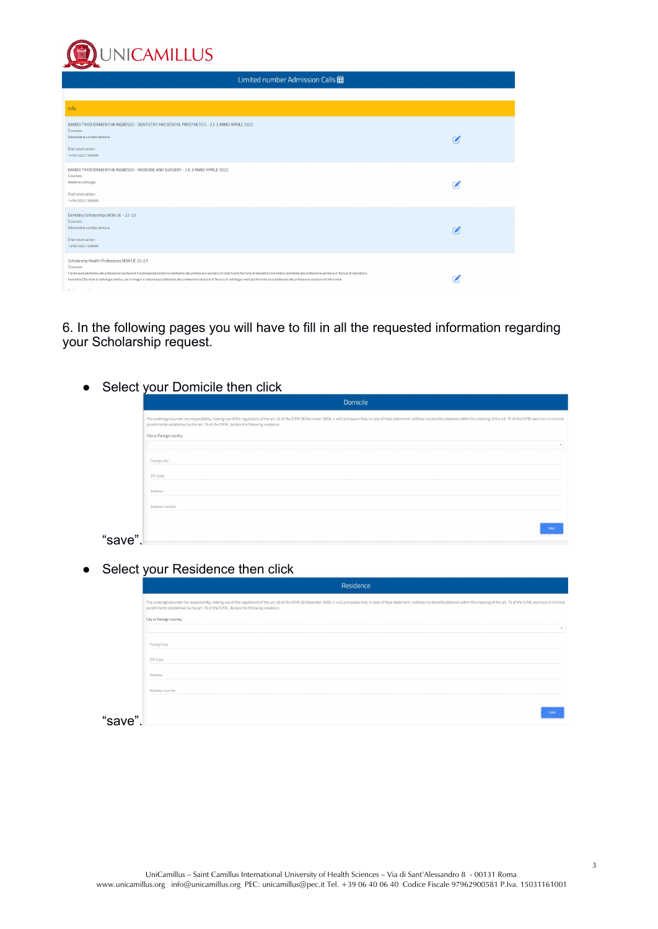**UNICAMILLUS** Limited number Admission Calls **宙** Info BANDO TRASFERIMENTI IN INGRESSO - DENTISTRY AND DENTAL PROSTHETICS - 2 E 3 ANNO APRILE 2022<br>Courses: ⇒:<br>itria e protesi dentaria  $\mathbf{z}$ End reservation:<br>14/04/2022 13:00:00 BANDO TRASFERIMENTI IN INGRESSO - MEDICINE AND SURGERY - 2 E 3 ANNO APRILE 2022<br>Courses:<br>Medicina e diturgia  $\overline{z}$ End reservation:<br>14/04/2022 13:00:00 Pentistry Scholarships NON UE - 22-23<br>Courses: coorpea.<br>Odontoiatria e protesi dentaria  $\mathbf{z}$ End reservation:<br>13/05/2022 13:00:00 Scholarship Health Professions NON UE 22-23 Courses Fisioterapia (abilit ite alla professione sanitaria di Fisiote  $\mathbf{z}$ biomedico), Tecniche di radiologia n e sanitaria di Inf  $\mu$  .  $\alpha$ 

6. In the following pages you will have to fill in all the requested information regarding your Scholarship request.

• Select your Domicile then click

|         | Domicile                                                                                                                                                                                                                                                                                                                 |
|---------|--------------------------------------------------------------------------------------------------------------------------------------------------------------------------------------------------------------------------------------------------------------------------------------------------------------------------|
|         | The undersigned, under my responsibility, making use of the regulations of the art. 46 of the D.P.R 28 December 2000, n. 445 and aware that, in case of false statement i will lose my benefits obtained within the meaning of<br>punishments established by the art. 76 of the D.P.R., declare the following residence: |
|         | City or Foreign country                                                                                                                                                                                                                                                                                                  |
|         |                                                                                                                                                                                                                                                                                                                          |
|         | Foreign city                                                                                                                                                                                                                                                                                                             |
|         | ZIP Code                                                                                                                                                                                                                                                                                                                 |
|         | Address                                                                                                                                                                                                                                                                                                                  |
|         | Address number                                                                                                                                                                                                                                                                                                           |
|         |                                                                                                                                                                                                                                                                                                                          |
| "save". |                                                                                                                                                                                                                                                                                                                          |
|         |                                                                                                                                                                                                                                                                                                                          |

• Select your Residence then click

|         | Residence                                                                                                                                                                                                                                                                                                                |
|---------|--------------------------------------------------------------------------------------------------------------------------------------------------------------------------------------------------------------------------------------------------------------------------------------------------------------------------|
|         | The undersigned, under my responsibility, making use of the regulations of the art. 46 of the D.P.R 2B December 2000, n. 445 and aware that, in case of false statement i will lose my benefits obtained within the meaning of<br>punishments established by the art. 76 of the D.P.R., declare the following residence: |
|         | City or Foreign country                                                                                                                                                                                                                                                                                                  |
|         |                                                                                                                                                                                                                                                                                                                          |
|         | Foreign city                                                                                                                                                                                                                                                                                                             |
|         | ZIP Code                                                                                                                                                                                                                                                                                                                 |
|         | Address                                                                                                                                                                                                                                                                                                                  |
|         | Address number                                                                                                                                                                                                                                                                                                           |
|         |                                                                                                                                                                                                                                                                                                                          |
| "save". |                                                                                                                                                                                                                                                                                                                          |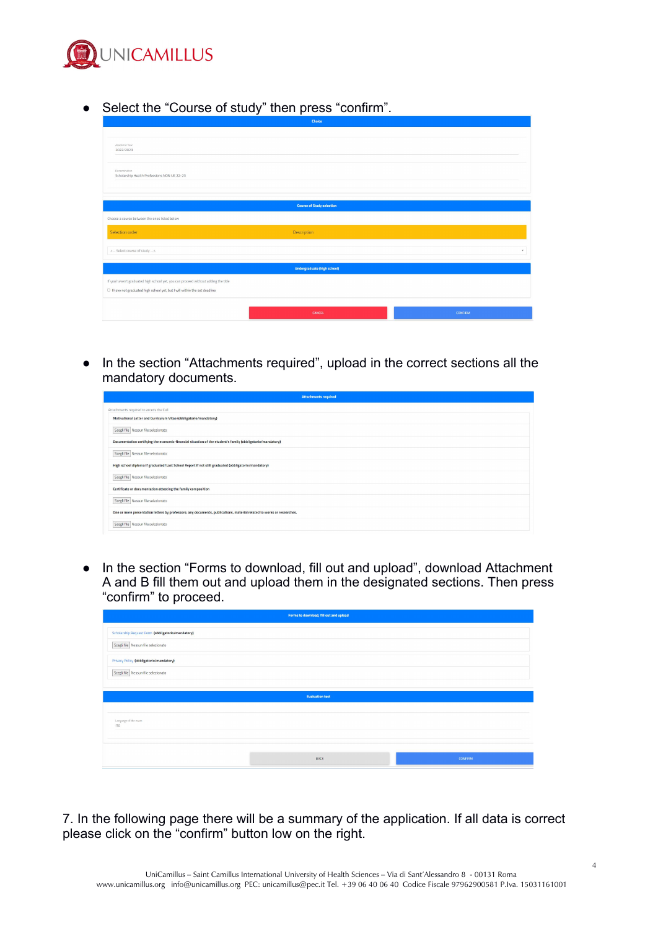

● Select the "Course of study" then press "confirm".

|                                                                                    | Choice                             |                |  |  |  |  |  |
|------------------------------------------------------------------------------------|------------------------------------|----------------|--|--|--|--|--|
|                                                                                    |                                    |                |  |  |  |  |  |
| Academic Year<br>2022/2023                                                         |                                    |                |  |  |  |  |  |
| Denomination<br>Scholarship Health Professions NON UE 22-23                        |                                    |                |  |  |  |  |  |
|                                                                                    |                                    |                |  |  |  |  |  |
|                                                                                    | <b>Course of Study selection</b>   |                |  |  |  |  |  |
| Choose a course between the ones listed below                                      |                                    |                |  |  |  |  |  |
| Selection order                                                                    | Description                        |                |  |  |  |  |  |
| <-- Select course of study -->                                                     |                                    | $\mathbf{v}$   |  |  |  |  |  |
|                                                                                    | <b>Undergraduate (high school)</b> |                |  |  |  |  |  |
| If you haven't graduated high school yet, you can proceed without adding the title |                                    |                |  |  |  |  |  |
| $\Box$ I have not graduated high school yet, but I will within the set deadline    |                                    |                |  |  |  |  |  |
|                                                                                    |                                    |                |  |  |  |  |  |
|                                                                                    | CANCEL                             | <b>CONFIRM</b> |  |  |  |  |  |

● In the section "Attachments required", upload in the correct sections all the mandatory documents.

| <b>Attachments required</b>                                                                                           |
|-----------------------------------------------------------------------------------------------------------------------|
| Attachments required to access the Call                                                                               |
| Motivational Letter and Curriculum Vitae (obbligatorio/mandatory)                                                     |
| Scegli file Nessun file selezionato                                                                                   |
| Documentation certifying the economic-financial situation of the student's family (obbligatorio/mandatory)            |
| Scegli file Nessun file selezionato                                                                                   |
| High school diploma if graduated/Last School Report if not still graduated (obbligatorio/mandatory)                   |
| Scegli file Nessun file selezionato                                                                                   |
| Certificate or documentation attesting the family composition                                                         |
| Scegli file Nessun file selezionato                                                                                   |
| One or more presentation letters by professors; any documents, publications, material related to works or researches. |
| Scegli file Nessun file selezionato                                                                                   |
|                                                                                                                       |

● In the section "Forms to download, fill out and upload", download Attachment A and B fill them out and upload them in the designated sections. Then press "confirm" to proceed.

|                                                   | Forms to download, fill out and upload |                |  |  |  |  |  |  |
|---------------------------------------------------|----------------------------------------|----------------|--|--|--|--|--|--|
| Scholarship Request Form (obbligatorio/mandatory) |                                        |                |  |  |  |  |  |  |
| Scegli file Nessun file selezionato               |                                        |                |  |  |  |  |  |  |
| Privacy Policy (obbligatorio/mandatory)           |                                        |                |  |  |  |  |  |  |
| Scegli file Nessun file selezionato               |                                        |                |  |  |  |  |  |  |
|                                                   |                                        |                |  |  |  |  |  |  |
|                                                   | <b>Evaluation test</b>                 |                |  |  |  |  |  |  |
| Language of the exam<br>ITA.                      |                                        |                |  |  |  |  |  |  |
|                                                   | BACK                                   | <b>CONFIRM</b> |  |  |  |  |  |  |

7. In the following page there will be a summary of the application. If all data is correct please click on the "confirm" button low on the right.